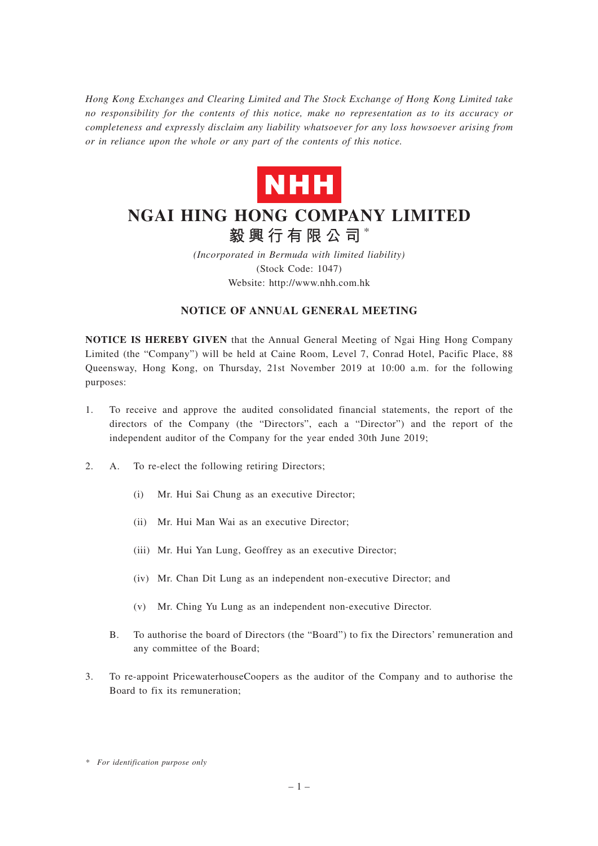*Hong Kong Exchanges and Clearing Limited and The Stock Exchange of Hong Kong Limited take no responsibility for the contents of this notice, make no representation as to its accuracy or completeness and expressly disclaim any liability whatsoever for any loss howsoever arising from or in reliance upon the whole or any part of the contents of this notice.*



# **NGAI HING HONG COMPANY LIMITED 毅興行有限公司** \*

*(Incorporated in Bermuda with limited liability)* (Stock Code: 1047)

Website: http://www.nhh.com.hk

## **NOTICE OF ANNUAL GENERAL MEETING**

**NOTICE IS HEREBY GIVEN** that the Annual General Meeting of Ngai Hing Hong Company Limited (the "Company") will be held at Caine Room, Level 7, Conrad Hotel, Pacific Place, 88 Queensway, Hong Kong, on Thursday, 21st November 2019 at 10:00 a.m. for the following purposes:

- 1. To receive and approve the audited consolidated financial statements, the report of the directors of the Company (the "Directors", each a "Director") and the report of the independent auditor of the Company for the year ended 30th June 2019;
- 2. A. To re-elect the following retiring Directors;
	- (i) Mr. Hui Sai Chung as an executive Director;
	- (ii) Mr. Hui Man Wai as an executive Director;
	- (iii) Mr. Hui Yan Lung, Geoffrey as an executive Director;
	- (iv) Mr. Chan Dit Lung as an independent non-executive Director; and
	- (v) Mr. Ching Yu Lung as an independent non-executive Director.
	- B. To authorise the board of Directors (the "Board") to fix the Directors' remuneration and any committee of the Board;
- 3. To re-appoint PricewaterhouseCoopers as the auditor of the Company and to authorise the Board to fix its remuneration;

*<sup>\*</sup> For identification purpose only*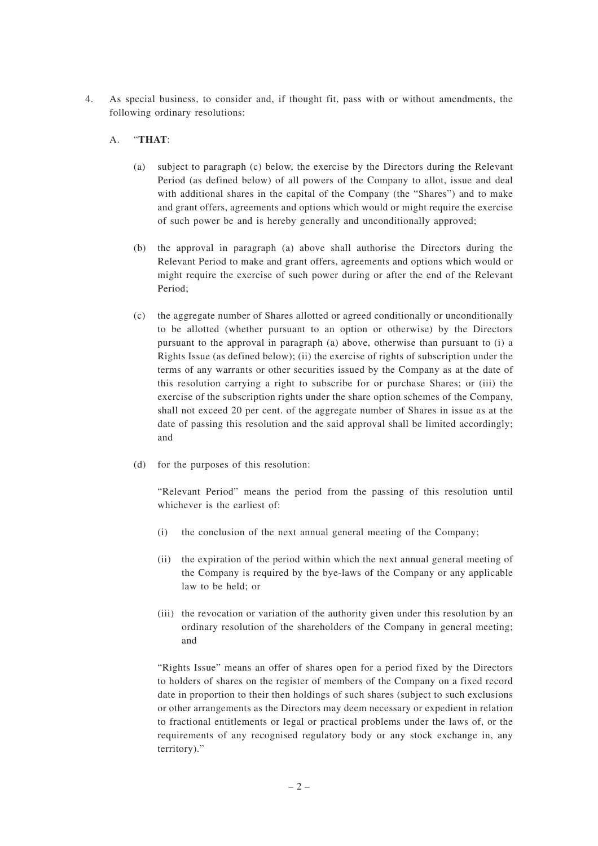4. As special business, to consider and, if thought fit, pass with or without amendments, the following ordinary resolutions:

## A. "**THAT**:

- (a) subject to paragraph (c) below, the exercise by the Directors during the Relevant Period (as defined below) of all powers of the Company to allot, issue and deal with additional shares in the capital of the Company (the "Shares") and to make and grant offers, agreements and options which would or might require the exercise of such power be and is hereby generally and unconditionally approved;
- (b) the approval in paragraph (a) above shall authorise the Directors during the Relevant Period to make and grant offers, agreements and options which would or might require the exercise of such power during or after the end of the Relevant Period;
- (c) the aggregate number of Shares allotted or agreed conditionally or unconditionally to be allotted (whether pursuant to an option or otherwise) by the Directors pursuant to the approval in paragraph (a) above, otherwise than pursuant to (i) a Rights Issue (as defined below); (ii) the exercise of rights of subscription under the terms of any warrants or other securities issued by the Company as at the date of this resolution carrying a right to subscribe for or purchase Shares; or (iii) the exercise of the subscription rights under the share option schemes of the Company, shall not exceed 20 per cent. of the aggregate number of Shares in issue as at the date of passing this resolution and the said approval shall be limited accordingly; and
- (d) for the purposes of this resolution:

"Relevant Period" means the period from the passing of this resolution until whichever is the earliest of:

- (i) the conclusion of the next annual general meeting of the Company;
- (ii) the expiration of the period within which the next annual general meeting of the Company is required by the bye-laws of the Company or any applicable law to be held; or
- (iii) the revocation or variation of the authority given under this resolution by an ordinary resolution of the shareholders of the Company in general meeting; and

"Rights Issue" means an offer of shares open for a period fixed by the Directors to holders of shares on the register of members of the Company on a fixed record date in proportion to their then holdings of such shares (subject to such exclusions or other arrangements as the Directors may deem necessary or expedient in relation to fractional entitlements or legal or practical problems under the laws of, or the requirements of any recognised regulatory body or any stock exchange in, any territory)."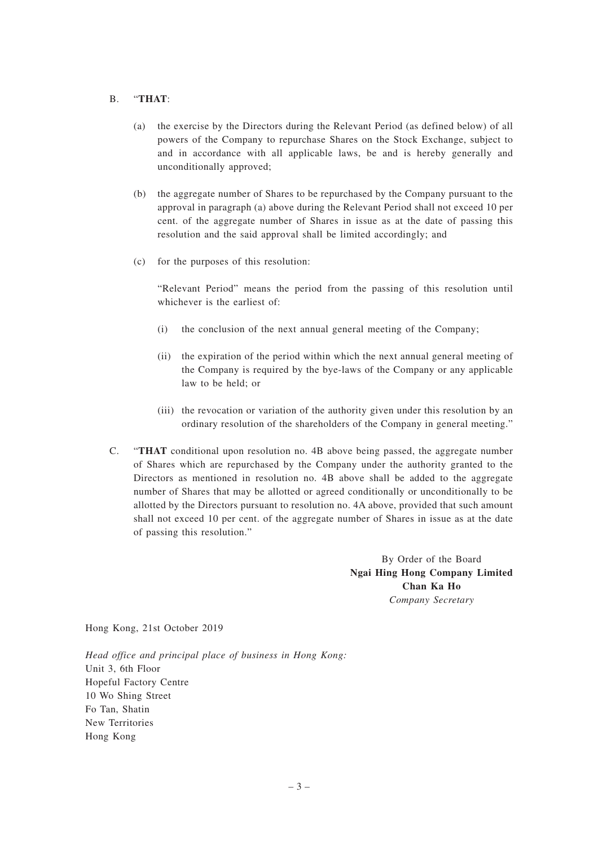#### B. "**THAT**:

- (a) the exercise by the Directors during the Relevant Period (as defined below) of all powers of the Company to repurchase Shares on the Stock Exchange, subject to and in accordance with all applicable laws, be and is hereby generally and unconditionally approved;
- (b) the aggregate number of Shares to be repurchased by the Company pursuant to the approval in paragraph (a) above during the Relevant Period shall not exceed 10 per cent. of the aggregate number of Shares in issue as at the date of passing this resolution and the said approval shall be limited accordingly; and
- (c) for the purposes of this resolution:

"Relevant Period" means the period from the passing of this resolution until whichever is the earliest of:

- (i) the conclusion of the next annual general meeting of the Company;
- (ii) the expiration of the period within which the next annual general meeting of the Company is required by the bye-laws of the Company or any applicable law to be held; or
- (iii) the revocation or variation of the authority given under this resolution by an ordinary resolution of the shareholders of the Company in general meeting."
- C. "**THAT** conditional upon resolution no. 4B above being passed, the aggregate number of Shares which are repurchased by the Company under the authority granted to the Directors as mentioned in resolution no. 4B above shall be added to the aggregate number of Shares that may be allotted or agreed conditionally or unconditionally to be allotted by the Directors pursuant to resolution no. 4A above, provided that such amount shall not exceed 10 per cent. of the aggregate number of Shares in issue as at the date of passing this resolution."

By Order of the Board **Ngai Hing Hong Company Limited Chan Ka Ho** *Company Secretary*

Hong Kong, 21st October 2019

*Head office and principal place of business in Hong Kong:* Unit 3, 6th Floor Hopeful Factory Centre 10 Wo Shing Street Fo Tan, Shatin New Territories Hong Kong